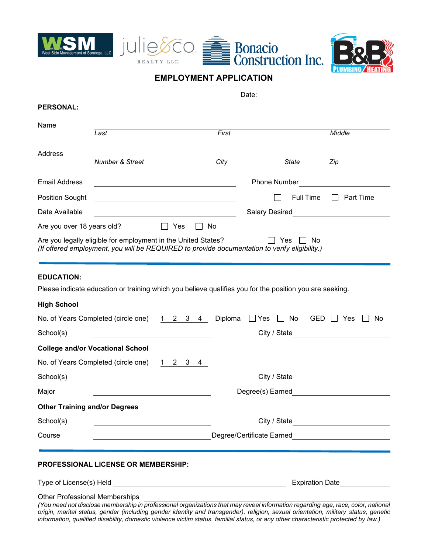





## **EMPLOYMENT APPLICATION**

| <b>PERSONAL:</b>                      |                                                                                                                                                                                                                                                                        |                            |                                                                                                                                                                                                                                      |                                  |
|---------------------------------------|------------------------------------------------------------------------------------------------------------------------------------------------------------------------------------------------------------------------------------------------------------------------|----------------------------|--------------------------------------------------------------------------------------------------------------------------------------------------------------------------------------------------------------------------------------|----------------------------------|
| Name                                  |                                                                                                                                                                                                                                                                        |                            |                                                                                                                                                                                                                                      |                                  |
|                                       | Last                                                                                                                                                                                                                                                                   | First                      |                                                                                                                                                                                                                                      | Middle                           |
| Address                               |                                                                                                                                                                                                                                                                        |                            |                                                                                                                                                                                                                                      |                                  |
|                                       | Number & Street                                                                                                                                                                                                                                                        | City                       | <b>State</b>                                                                                                                                                                                                                         | Zip                              |
| <b>Email Address</b>                  |                                                                                                                                                                                                                                                                        |                            | Phone Number                                                                                                                                                                                                                         |                                  |
| <b>Position Sought</b>                | <u> 1989 - Johann Stoff, Amerikaansk politiker († 1908)</u>                                                                                                                                                                                                            |                            | <b>Full Time</b>                                                                                                                                                                                                                     | Part Time                        |
| Date Available                        | <u> 1980 - Johann Barbara, martin amerikan basar da</u>                                                                                                                                                                                                                |                            | Salary Desired <b>Contains a Contract Contains a Contract Contract Contract Contract Contract Contract Contract Contract Contract Contract Contract Contract Contract Contract Contract Contract Contract Contract Contract Cont</b> |                                  |
| Are you over 18 years old?            | $\Box$ Yes                                                                                                                                                                                                                                                             | __  No                     |                                                                                                                                                                                                                                      |                                  |
|                                       | Are you legally eligible for employment in the United States?<br>(If offered employment, you will be REQUIRED to provide documentation to verify eligibility.)                                                                                                         |                            | Yes<br>No                                                                                                                                                                                                                            |                                  |
|                                       |                                                                                                                                                                                                                                                                        |                            |                                                                                                                                                                                                                                      |                                  |
| <b>EDUCATION:</b>                     |                                                                                                                                                                                                                                                                        |                            |                                                                                                                                                                                                                                      |                                  |
|                                       | Please indicate education or training which you believe qualifies you for the position you are seeking.                                                                                                                                                                |                            |                                                                                                                                                                                                                                      |                                  |
| <b>High School</b>                    |                                                                                                                                                                                                                                                                        |                            |                                                                                                                                                                                                                                      |                                  |
|                                       | No. of Years Completed (circle one)                                                                                                                                                                                                                                    | Diploma<br>$1 \t2 \t3 \t4$ | $\Box$ Yes $\Box$ No                                                                                                                                                                                                                 | $GED \Box Yes$<br>l I No         |
| School(s)                             |                                                                                                                                                                                                                                                                        |                            |                                                                                                                                                                                                                                      | City / State <b>City / State</b> |
|                                       | <b>College and/or Vocational School</b>                                                                                                                                                                                                                                |                            |                                                                                                                                                                                                                                      |                                  |
|                                       | No. of Years Completed (circle one)<br>$1 \quad 2 \quad 3 \quad 4$                                                                                                                                                                                                     |                            |                                                                                                                                                                                                                                      |                                  |
| School(s)                             |                                                                                                                                                                                                                                                                        |                            |                                                                                                                                                                                                                                      |                                  |
| Major                                 |                                                                                                                                                                                                                                                                        |                            | Degree(s) Earned                                                                                                                                                                                                                     |                                  |
| <b>Other Training and/or Degrees</b>  |                                                                                                                                                                                                                                                                        |                            |                                                                                                                                                                                                                                      |                                  |
| School(s)                             |                                                                                                                                                                                                                                                                        |                            |                                                                                                                                                                                                                                      |                                  |
| Course                                |                                                                                                                                                                                                                                                                        |                            | Degree/Certificate Earned Learner and American Service Service Service Service Service Service Service Service                                                                                                                       |                                  |
|                                       |                                                                                                                                                                                                                                                                        |                            |                                                                                                                                                                                                                                      |                                  |
|                                       | <b>PROFESSIONAL LICENSE OR MEMBERSHIP:</b>                                                                                                                                                                                                                             |                            |                                                                                                                                                                                                                                      |                                  |
|                                       |                                                                                                                                                                                                                                                                        |                            |                                                                                                                                                                                                                                      | <b>Expiration Date</b>           |
| <b>Other Professional Memberships</b> | (You need not disclose membership in professional organizations that may reveal information regarding age, race, color, national<br>origin, marital status, gender (including gender identity and transgender), religion, sexual orientation, military status, genetic |                            |                                                                                                                                                                                                                                      |                                  |

*information, qualified disability, domestic violence victim status, familial status, or any other characteristic protected by law.)*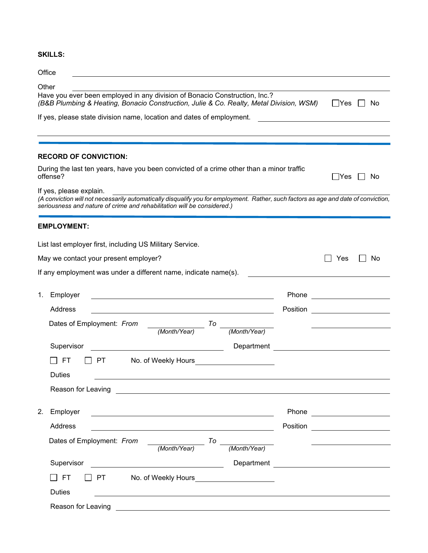## **SKILLS:**

## **Office Other** Have you ever been employed in any division of Bonacio Construction, Inc.? *(B&B Plumbing & Heating, Bonacio Construction, Julie & Co. Realty, Metal Division, WSM)* □ Yes □ No If yes, please state division name, location and dates of employment. **RECORD OF CONVICTION:** During the last ten years, have you been convicted of a crime other than a minor traffic  $\Box$  Yes  $\Box$  No If yes, please explain. *(A conviction will not necessarily automatically disqualify you for employment. Rather, such factors as age and date of conviction, seriousness and nature of crime and rehabilitation will be considered.)* **EMPLOYMENT:** List last employer first, including US Military Service. May we contact your present employer?  $\Box$  Yes  $\Box$  No If any employment was under a different name, indicate name(s). 1. Employer **Phone** Phone **Phone** Phone **Phone** Address and the contract of the contract of the contract of the contract of the contract of the contract of the contract of the contract of the contract of the contract of the contract of the contract of the contract of th Dates of Employment: *From* <u>*<u>Month/Year</u>*) 70 \_</u> *(Month/Year) (Month/Year)* Supervisor Contract Contract Contract Department Contract Contract Contract Contract Contract Contract Contract Contract Contract Contract Contract Contract Contract Contract Contract Contract Contract Contract Contract Co FT PT No. of Weekly Hours **Duties** Reason for Leaving **Exercise 2008 Reason** for Leaving

| 2. | Employer                                      | Phone    |  |
|----|-----------------------------------------------|----------|--|
|    | Address                                       | Position |  |
|    | Dates of Employment: From<br>To               |          |  |
|    | (Month/Year)<br>(Month/Year)                  |          |  |
|    | Supervisor<br>Department                      |          |  |
|    | $\Box$ PT<br>$\Box$ FT<br>No. of Weekly Hours |          |  |
|    | <b>Duties</b>                                 |          |  |
|    | Reason for Leaving                            |          |  |
|    |                                               |          |  |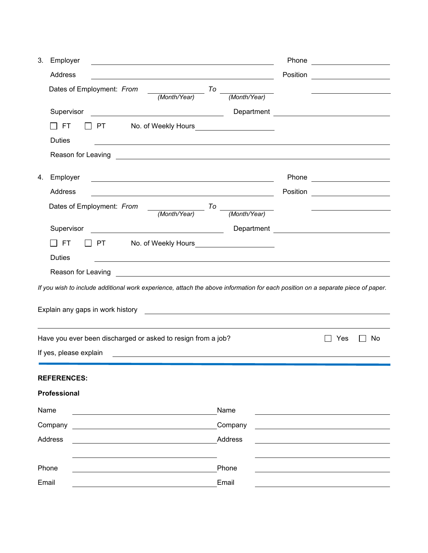| 3. | Employer<br>and the control of the control of the control of the control of the control of the control of the control of the                                                                                                        |              | Phone <u>________________</u>      |    |
|----|-------------------------------------------------------------------------------------------------------------------------------------------------------------------------------------------------------------------------------------|--------------|------------------------------------|----|
|    | Address                                                                                                                                                                                                                             |              | Position <u>__________________</u> |    |
|    | Dates of Employment: From<br>$\frac{1}{(Month/Year)}$ To                                                                                                                                                                            | (Month/Year) |                                    |    |
|    | Supervisor                                                                                                                                                                                                                          |              |                                    |    |
|    | $\Box$ FT<br>PT No. of Weekly Hours _______________________                                                                                                                                                                         |              |                                    |    |
|    | <b>Duties</b>                                                                                                                                                                                                                       |              |                                    |    |
|    | Reason for Leaving <u>experience</u> and the contract of the contract of the contract of the contract of the contract of the contract of the contract of the contract of the contract of the contract of the contract of the contra |              |                                    |    |
| 4. | Employer<br><u> 1980 - Andrea Barbara, amerikan personal (h. 1980).</u>                                                                                                                                                             |              | Phone <u>_______________</u>       |    |
|    | Address<br><u> 1980 - Johann Barn, mars eta bat erroman erroman erroman erroman erroman erroman erroman erroman erroman err</u>                                                                                                     |              | Position <u>________________</u>   |    |
|    | $\frac{1}{(Month/Year)}$ To $-$<br>Dates of Employment: From                                                                                                                                                                        |              |                                    |    |
|    |                                                                                                                                                                                                                                     | (Month/Year) |                                    |    |
|    | Supervisor<br><u> 1990 - Johann Barbara, martin amerikan ba</u>                                                                                                                                                                     |              |                                    |    |
|    | FT<br>T PT No. of Weekly Hours No. 2014                                                                                                                                                                                             |              |                                    |    |
|    | <b>Duties</b>                                                                                                                                                                                                                       |              |                                    |    |
|    | Reason for Leaving                                                                                                                                                                                                                  |              |                                    |    |
|    | If you wish to include additional work experience, attach the above information for each position on a separate piece of paper.                                                                                                     |              |                                    |    |
|    |                                                                                                                                                                                                                                     |              |                                    |    |
|    |                                                                                                                                                                                                                                     |              |                                    |    |
|    | Have you ever been discharged or asked to resign from a job?                                                                                                                                                                        |              | Yes                                | No |
|    | If yes, please explain                                                                                                                                                                                                              |              |                                    |    |
|    |                                                                                                                                                                                                                                     |              |                                    |    |
|    | <b>REFERENCES:</b>                                                                                                                                                                                                                  |              |                                    |    |
|    | Professional                                                                                                                                                                                                                        |              |                                    |    |
|    | Name                                                                                                                                                                                                                                | Name         |                                    |    |
|    | Company                                                                                                                                                                                                                             | Company      |                                    |    |
|    | Address                                                                                                                                                                                                                             | Address      |                                    |    |
|    |                                                                                                                                                                                                                                     |              |                                    |    |
|    | Phone                                                                                                                                                                                                                               | Phone        |                                    |    |
|    | Email                                                                                                                                                                                                                               | Email        |                                    |    |